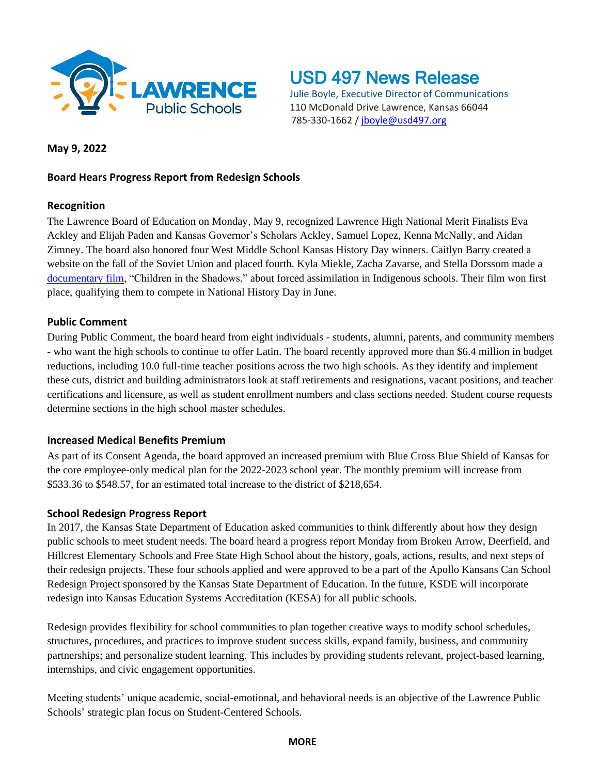

USD 497 News Release

Julie Boyle, Executive Director of Communications 110 McDonald Drive Lawrence, Kansas 66044 785-330-1662 / [jboyle@usd497.org](mailto:jboyle@usd497.org)

## **May 9, 2022**

# **Board Hears Progress Report from Redesign Schools**

### **Recognition**

The Lawrence Board of Education on Monday, May 9, recognized Lawrence High National Merit Finalists Eva Ackley and Elijah Paden and Kansas Governor's Scholars Ackley, Samuel Lopez, Kenna McNally, and Aidan Zimney. The board also honored four West Middle School Kansas History Day winners. Caitlyn Barry created a website on the fall of the Soviet Union and placed fourth. Kyla Miekle, Zacha Zavarse, and Stella Dorssom made a [documentary film,](https://youtu.be/2moIJAzITLc) "Children in the Shadows," about forced assimilation in Indigenous schools. Their film won first place, qualifying them to compete in National History Day in June.

### **Public Comment**

During Public Comment, the board heard from eight individuals - students, alumni, parents, and community members - who want the high schools to continue to offer Latin. The board recently approved more than \$6.4 million in budget reductions, including 10.0 full-time teacher positions across the two high schools. As they identify and implement these cuts, district and building administrators look at staff retirements and resignations, vacant positions, and teacher certifications and licensure, as well as student enrollment numbers and class sections needed. Student course requests determine sections in the high school master schedules.

# **Increased Medical Benefits Premium**

As part of its Consent Agenda, the board approved an increased premium with Blue Cross Blue Shield of Kansas for the core employee-only medical plan for the 2022-2023 school year. The monthly premium will increase from \$533.36 to \$548.57, for an estimated total increase to the district of \$218,654.

#### **School Redesign Progress Report**

In 2017, the Kansas State Department of Education asked communities to think differently about how they design public schools to meet student needs. The board heard a progress report Monday from Broken Arrow, Deerfield, and Hillcrest Elementary Schools and Free State High School about the history, goals, actions, results, and next steps of their redesign projects. These four schools applied and were approved to be a part of the Apollo Kansans Can School Redesign Project sponsored by the Kansas State Department of Education. In the future, KSDE will incorporate redesign into Kansas Education Systems Accreditation (KESA) for all public schools.

Redesign provides flexibility for school communities to plan together creative ways to modify school schedules, structures, procedures, and practices to improve student success skills, expand family, business, and community partnerships; and personalize student learning. This includes by providing students relevant, project-based learning, internships, and civic engagement opportunities.

Meeting students' unique academic, social-emotional, and behavioral needs is an objective of the Lawrence Public Schools' strategic plan focus on Student-Centered Schools.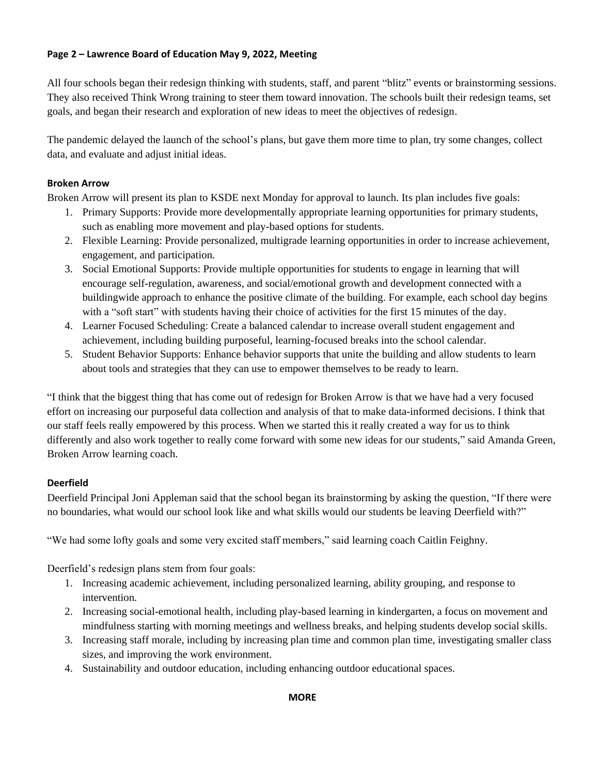## **Page 2 – Lawrence Board of Education May 9, 2022, Meeting**

All four schools began their redesign thinking with students, staff, and parent "blitz" events or brainstorming sessions. They also received Think Wrong training to steer them toward innovation. The schools built their redesign teams, set goals, and began their research and exploration of new ideas to meet the objectives of redesign.

The pandemic delayed the launch of the school's plans, but gave them more time to plan, try some changes, collect data, and evaluate and adjust initial ideas.

### **Broken Arrow**

Broken Arrow will present its plan to KSDE next Monday for approval to launch. Its plan includes five goals:

- 1. Primary Supports: Provide more developmentally appropriate learning opportunities for primary students, such as enabling more movement and play-based options for students.
- 2. Flexible Learning: Provide personalized, multigrade learning opportunities in order to increase achievement, engagement, and participation.
- 3. Social Emotional Supports: Provide multiple opportunities for students to engage in learning that will encourage self-regulation, awareness, and social/emotional growth and development connected with a buildingwide approach to enhance the positive climate of the building. For example, each school day begins with a "soft start" with students having their choice of activities for the first 15 minutes of the day.
- 4. Learner Focused Scheduling: Create a balanced calendar to increase overall student engagement and achievement, including building purposeful, learning-focused breaks into the school calendar.
- 5. Student Behavior Supports: Enhance behavior supports that unite the building and allow students to learn about tools and strategies that they can use to empower themselves to be ready to learn.

"I think that the biggest thing that has come out of redesign for Broken Arrow is that we have had a very focused effort on increasing our purposeful data collection and analysis of that to make data-informed decisions. I think that our staff feels really empowered by this process. When we started this it really created a way for us to think differently and also work together to really come forward with some new ideas for our students," said Amanda Green, Broken Arrow learning coach.

# **Deerfield**

Deerfield Principal Joni Appleman said that the school began its brainstorming by asking the question, "If there were no boundaries, what would our school look like and what skills would our students be leaving Deerfield with?"

"We had some lofty goals and some very excited staff members," said learning coach Caitlin Feighny.

Deerfield's redesign plans stem from four goals:

- 1. Increasing academic achievement, including personalized learning, ability grouping, and response to intervention.
- 2. Increasing social-emotional health, including play-based learning in kindergarten, a focus on movement and mindfulness starting with morning meetings and wellness breaks, and helping students develop social skills.
- 3. Increasing staff morale, including by increasing plan time and common plan time, investigating smaller class sizes, and improving the work environment.
- 4. Sustainability and outdoor education, including enhancing outdoor educational spaces.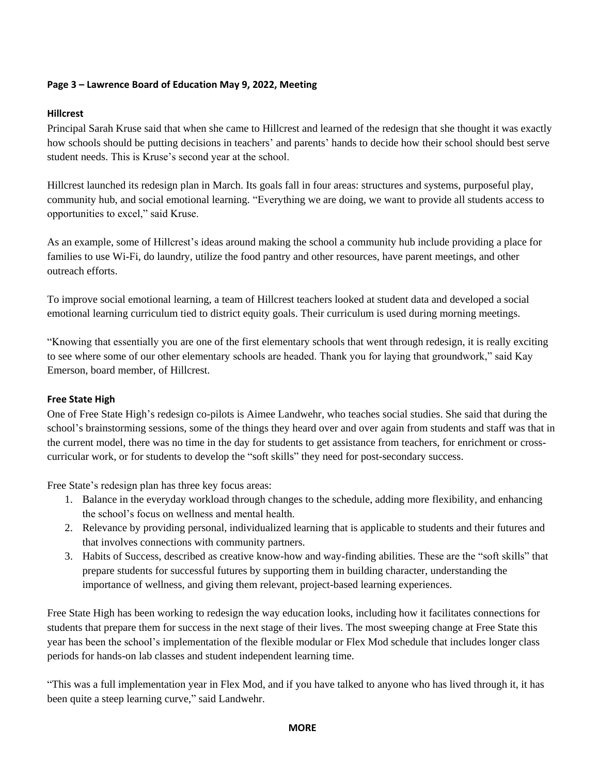### **Page 3 – Lawrence Board of Education May 9, 2022, Meeting**

#### **Hillcrest**

Principal Sarah Kruse said that when she came to Hillcrest and learned of the redesign that she thought it was exactly how schools should be putting decisions in teachers' and parents' hands to decide how their school should best serve student needs. This is Kruse's second year at the school.

Hillcrest launched its redesign plan in March. Its goals fall in four areas: structures and systems, purposeful play, community hub, and social emotional learning. "Everything we are doing, we want to provide all students access to opportunities to excel," said Kruse.

As an example, some of Hillcrest's ideas around making the school a community hub include providing a place for families to use Wi-Fi, do laundry, utilize the food pantry and other resources, have parent meetings, and other outreach efforts.

To improve social emotional learning, a team of Hillcrest teachers looked at student data and developed a social emotional learning curriculum tied to district equity goals. Their curriculum is used during morning meetings.

"Knowing that essentially you are one of the first elementary schools that went through redesign, it is really exciting to see where some of our other elementary schools are headed. Thank you for laying that groundwork," said Kay Emerson, board member, of Hillcrest.

#### **Free State High**

One of Free State High's redesign co-pilots is Aimee Landwehr, who teaches social studies. She said that during the school's brainstorming sessions, some of the things they heard over and over again from students and staff was that in the current model, there was no time in the day for students to get assistance from teachers, for enrichment or crosscurricular work, or for students to develop the "soft skills" they need for post-secondary success.

Free State's redesign plan has three key focus areas:

- 1. Balance in the everyday workload through changes to the schedule, adding more flexibility, and enhancing the school's focus on wellness and mental health.
- 2. Relevance by providing personal, individualized learning that is applicable to students and their futures and that involves connections with community partners.
- 3. Habits of Success, described as creative know-how and way-finding abilities. These are the "soft skills" that prepare students for successful futures by supporting them in building character, understanding the importance of wellness, and giving them relevant, project-based learning experiences.

Free State High has been working to redesign the way education looks, including how it facilitates connections for students that prepare them for success in the next stage of their lives. The most sweeping change at Free State this year has been the school's implementation of the flexible modular or Flex Mod schedule that includes longer class periods for hands-on lab classes and student independent learning time.

"This was a full implementation year in Flex Mod, and if you have talked to anyone who has lived through it, it has been quite a steep learning curve," said Landwehr.